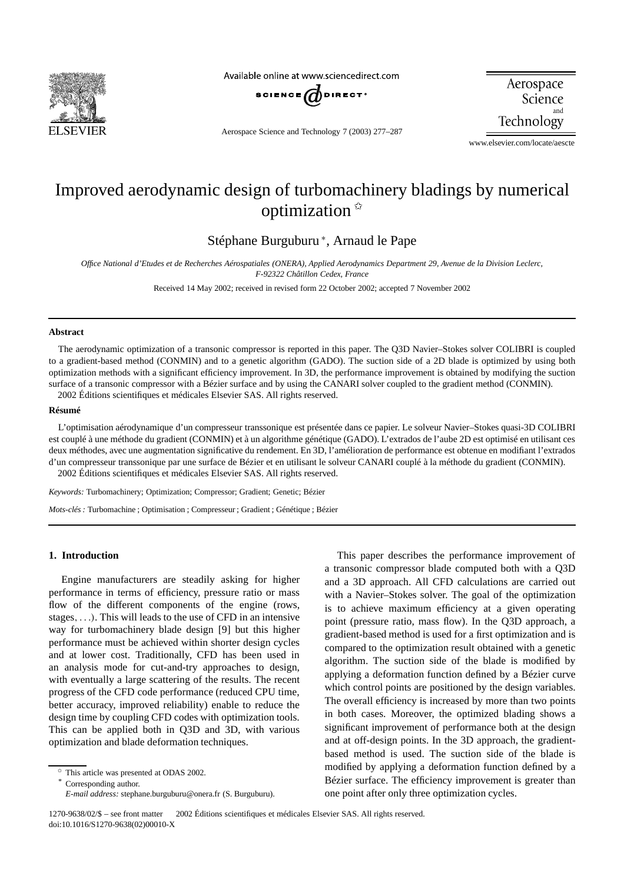

Available online at www.sciencedirect.com



Aerospace Science Technology

Aerospace Science and Technology 7 (2003) 277–287

www.elsevier.com/locate/aescte

## Improved aerodynamic design of turbomachinery bladings by numerical optimization ✩

Stéphane Burguburu <sup>∗</sup> , Arnaud le Pape

*Office National d'Etudes et de Recherches Aérospatiales (ONERA), Applied Aerodynamics Department 29, Avenue de la Division Leclerc, F-92322 Châtillon Cedex, France*

Received 14 May 2002; received in revised form 22 October 2002; accepted 7 November 2002

### **Abstract**

The aerodynamic optimization of a transonic compressor is reported in this paper. The Q3D Navier–Stokes solver COLIBRI is coupled to a gradient-based method (CONMIN) and to a genetic algorithm (GADO). The suction side of a 2D blade is optimized by using both optimization methods with a significant efficiency improvement. In 3D, the performance improvement is obtained by modifying the suction surface of a transonic compressor with a Bézier surface and by using the CANARI solver coupled to the gradient method (CONMIN). 2002 Éditions scientifiques et médicales Elsevier SAS. All rights reserved.

#### **Résumé**

L'optimisation aérodynamique d'un compresseur transsonique est présentée dans ce papier. Le solveur Navier–Stokes quasi-3D COLIBRI est couplé à une méthode du gradient (CONMIN) et à un algorithme génétique (GADO). L'extrados de l'aube 2D est optimisé en utilisant ces deux méthodes, avec une augmentation significative du rendement. En 3D, l'amélioration de performance est obtenue en modifiant l'extrados d'un compresseur transsonique par une surface de Bézier et en utilisant le solveur CANARI couplé à la méthode du gradient (CONMIN). 2002 Éditions scientifiques et médicales Elsevier SAS. All rights reserved.

*Keywords:* Turbomachinery; Optimization; Compressor; Gradient; Genetic; Bézier

*Mots-clés :* Turbomachine ; Optimisation ; Compresseur ; Gradient ; Génétique ; Bézier

## **1. Introduction**

Engine manufacturers are steadily asking for higher performance in terms of efficiency, pressure ratio or mass flow of the different components of the engine (rows, stages*, . . .)*. This will leads to the use of CFD in an intensive way for turbomachinery blade design [9] but this higher performance must be achieved within shorter design cycles and at lower cost. Traditionally, CFD has been used in an analysis mode for cut-and-try approaches to design, with eventually a large scattering of the results. The recent progress of the CFD code performance (reduced CPU time, better accuracy, improved reliability) enable to reduce the design time by coupling CFD codes with optimization tools. This can be applied both in Q3D and 3D, with various optimization and blade deformation techniques.

Corresponding author.

This paper describes the performance improvement of a transonic compressor blade computed both with a Q3D and a 3D approach. All CFD calculations are carried out with a Navier–Stokes solver. The goal of the optimization is to achieve maximum efficiency at a given operating point (pressure ratio, mass flow). In the Q3D approach, a gradient-based method is used for a first optimization and is compared to the optimization result obtained with a genetic algorithm. The suction side of the blade is modified by applying a deformation function defined by a Bézier curve which control points are positioned by the design variables. The overall efficiency is increased by more than two points in both cases. Moreover, the optimized blading shows a significant improvement of performance both at the design and at off-design points. In the 3D approach, the gradientbased method is used. The suction side of the blade is modified by applying a deformation function defined by a Bézier surface. The efficiency improvement is greater than one point after only three optimization cycles.

<sup>✩</sup> This article was presented at ODAS 2002.

*E-mail address:* stephane.burguburu@onera.fr (S. Burguburu).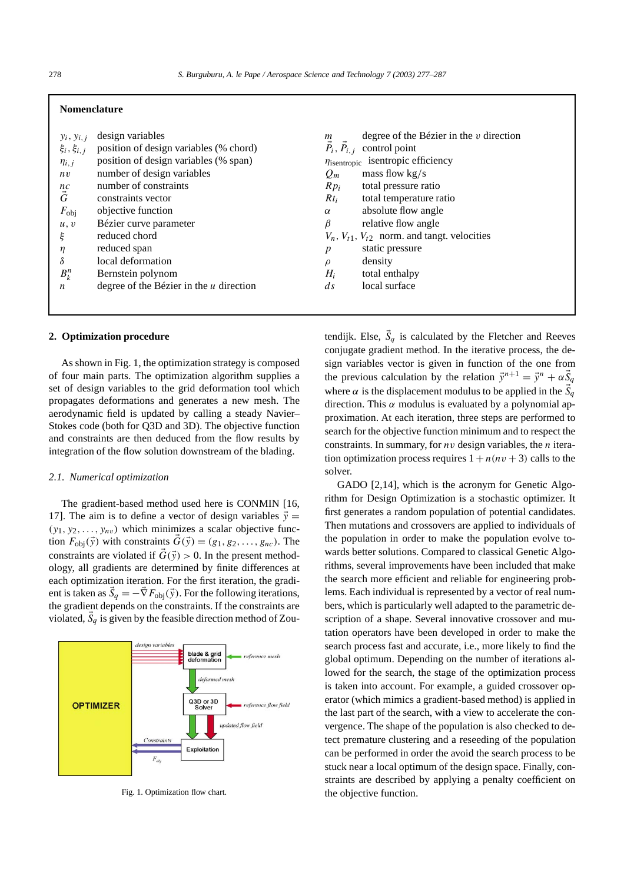## **Nomenclature**

|                         | design variables                          | $\boldsymbol{m}$              | degree of the Bézier in the $v$ direction               |
|-------------------------|-------------------------------------------|-------------------------------|---------------------------------------------------------|
| $y_i, y_{i,j}$          |                                           |                               |                                                         |
| $\xi_i, \xi_{i,j}$      | position of design variables (% chord)    | $\vec{P}_i$ , $\vec{P}_{i,j}$ | control point                                           |
| $\eta_{i,j}$            | position of design variables (% span)     |                               | $\eta$ isentropic isentropic efficiency                 |
| nv                      | number of design variables                | $Q_m$                         | mass flow $kg/s$                                        |
|                         | number of constraints                     | $Rp_i$                        | total pressure ratio                                    |
| $\overset{nc}{\vec{G}}$ | constraints vector                        | $Rt_i$                        | total temperature ratio                                 |
| $F_{\rm obj}$           | objective function                        | $\alpha$                      | absolute flow angle                                     |
| u, v                    | Bézier curve parameter                    | $\beta$                       | relative flow angle                                     |
| ξ                       | reduced chord                             |                               | $V_n$ , $V_{t1}$ , $V_{t2}$ norm. and tangt. velocities |
| η                       | reduced span                              | p                             | static pressure                                         |
| δ                       | local deformation                         | $\rho$                        | density                                                 |
| $B_k^n$                 | Bernstein polynom                         | $H_i$                         | total enthalpy                                          |
| n                       | degree of the Bézier in the $u$ direction | $\overline{ds}$               | local surface                                           |
|                         |                                           |                               |                                                         |

## **2. Optimization procedure**

As shown in Fig. 1, the optimization strategy is composed of four main parts. The optimization algorithm supplies a set of design variables to the grid deformation tool which propagates deformations and generates a new mesh. The aerodynamic field is updated by calling a steady Navier– Stokes code (both for Q3D and 3D). The objective function and constraints are then deduced from the flow results by integration of the flow solution downstream of the blading.

## *2.1. Numerical optimization*

The gradient-based method used here is CONMIN [16, 17]. The aim is to define a vector of design variables  $\vec{y}$  =  $(y_1, y_2, \ldots, y_{nv})$  which minimizes a scalar objective function  $F_{\text{obj}}(\vec{y})$  with constraints  $G(\vec{y}) = (g_1, g_2, \dots, g_{nc})$ . The constraints are violated if  $G(\vec{y}) > 0$ . In the present methodology, all gradients are determined by finite differences at each optimization iteration. For the first iteration, the gradient is taken as  $S_q = -\nabla F_{\text{obj}}(\vec{y})$ . For the following iterations, the gradient depends on the constraints. If the constraints are violated,  $\dot{S}_q$  is given by the feasible direction method of Zou-



Fig. 1. Optimization flow chart.

tendijk. Else,  $S_q$  is calculated by the Fletcher and Reeves conjugate gradient method. In the iterative process, the design variables vector is given in function of the one from the previous calculation by the relation  $\vec{y}^{n+1} = \vec{y}^n + \alpha \vec{S}_q$ where  $\alpha$  is the displacement modulus to be applied in the  $S_q$ direction. This *α* modulus is evaluated by a polynomial approximation. At each iteration, three steps are performed to search for the objective function minimum and to respect the constraints. In summary, for *nv* design variables, the *n* iteration optimization process requires  $1 + n(nv + 3)$  calls to the solver.

GADO [2,14], which is the acronym for Genetic Algorithm for Design Optimization is a stochastic optimizer. It first generates a random population of potential candidates. Then mutations and crossovers are applied to individuals of the population in order to make the population evolve towards better solutions. Compared to classical Genetic Algorithms, several improvements have been included that make the search more efficient and reliable for engineering problems. Each individual is represented by a vector of real numbers, which is particularly well adapted to the parametric description of a shape. Several innovative crossover and mutation operators have been developed in order to make the search process fast and accurate, i.e., more likely to find the global optimum. Depending on the number of iterations allowed for the search, the stage of the optimization process is taken into account. For example, a guided crossover operator (which mimics a gradient-based method) is applied in the last part of the search, with a view to accelerate the convergence. The shape of the population is also checked to detect premature clustering and a reseeding of the population can be performed in order the avoid the search process to be stuck near a local optimum of the design space. Finally, constraints are described by applying a penalty coefficient on the objective function.